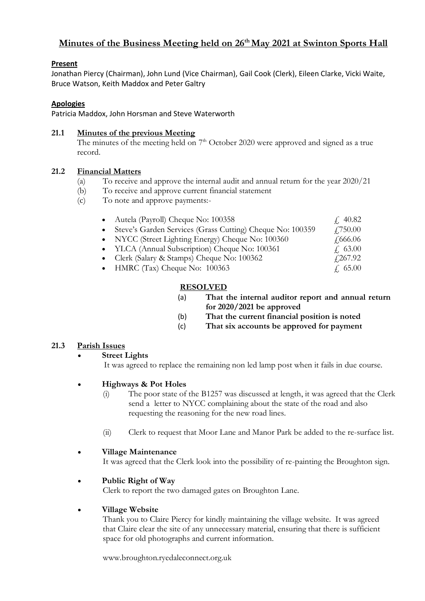# **Minutes of the Business Meeting held on 26th May 2021 at Swinton Sports Hall**

#### **Present**

Jonathan Piercy (Chairman), John Lund (Vice Chairman), Gail Cook (Clerk), Eileen Clarke, Vicki Waite, Bruce Watson, Keith Maddox and Peter Galtry

#### **Apologies**

Patricia Maddox, John Horsman and Steve Waterworth

#### **21.1 Minutes of the previous Meeting**

The minutes of the meeting held on  $7<sup>th</sup>$  October 2020 were approved and signed as a true record.

#### **21.2 Financial Matters**

- (a) To receive and approve the internal audit and annual return for the year 2020/21
- (b) To receive and approve current financial statement
- (c) To note and approve payments:-

| • Autela (Payroll) Cheque No: 100358                      | f. 40.82            |
|-----------------------------------------------------------|---------------------|
| Steve's Garden Services (Grass Cutting) Cheque No: 100359 | $\angle 750.00$     |
| • NYCC (Street Lighting Energy) Cheque No: 100360         | $\frac{1}{2}666.06$ |
| • YLCA (Annual Subscription) Cheque No: 100361            | f. 63.00            |
| • Clerk (Salary & Stamps) Cheque No: 100362               | $\sqrt{267.92}$     |
| $\bullet$ HMRC (Tax) Cheque No: 100363                    | f. 65.00            |
|                                                           |                     |

# **RESOLVED**

- (a) **That the internal auditor report and annual return for 2020/2021 be approved**
- (b) **That the current financial position is noted**
- (c) **That six accounts be approved for payment**

# **21.3 Parish Issues**

#### **Street Lights**

It was agreed to replace the remaining non led lamp post when it fails in due course.

# • **Highways & Pot Holes**

- (i) The poor state of the B1257 was discussed at length, it was agreed that the Clerk send a letter to NYCC complaining about the state of the road and also requesting the reasoning for the new road lines.
- (ii) Clerk to request that Moor Lane and Manor Park be added to the re-surface list.

# • **Village Maintenance**

It was agreed that the Clerk look into the possibility of re-painting the Broughton sign.

# • **Public Right of Way**

Clerk to report the two damaged gates on Broughton Lane.

# • **Village Website**

Thank you to Claire Piercy for kindly maintaining the village website. It was agreed that Claire clear the site of any unnecessary material, ensuring that there is sufficient space for old photographs and current information.

www.broughton.ryedaleconnect.org.uk